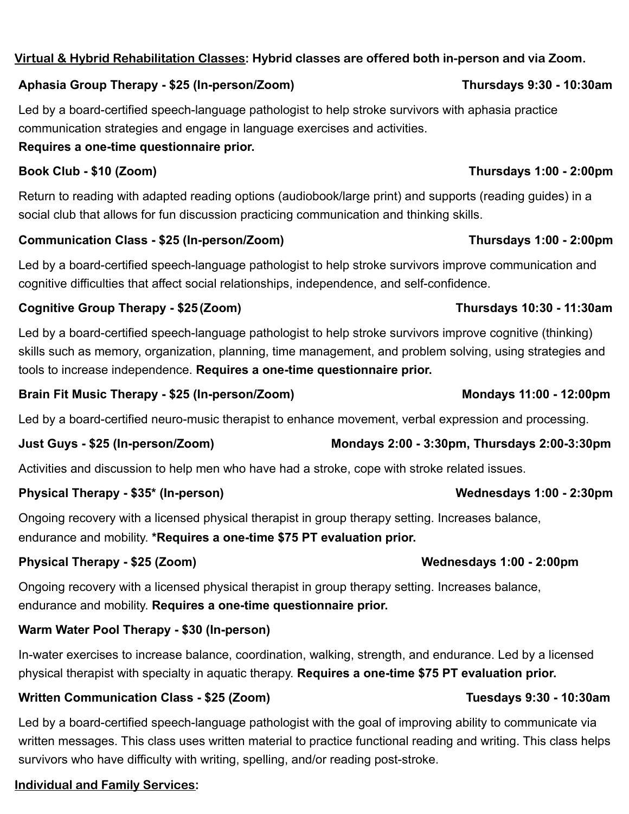# **Virtual & Hybrid Rehabilitation Classes: Hybrid classes are offered both in-person and via Zoom.**

### **Aphasia Group Therapy - \$25 (In-person/Zoom) Thursdays 9:30 - 10:30am**

Led by a board-certified speech-language pathologist to help stroke survivors with aphasia practice communication strategies and engage in language exercises and activities.

### **Requires a one-time questionnaire prior.**

## **Book Club - \$10 (Zoom) Thursdays 1:00 - 2:00pm**

Return to reading with adapted reading options (audiobook/large print) and supports (reading guides) in a social club that allows for fun discussion practicing communication and thinking skills.

### **Communication Class - \$25 (In-person/Zoom) Thursdays 1:00 - 2:00pm**

Led by a board-certified speech-language pathologist to help stroke survivors improve communication and cognitive difficulties that affect social relationships, independence, and self-confidence.

## **Cognitive Group Therapy - \$25 (Zoom) Thursdays 10:30 - 11:30am**

Led by a board-certified speech-language pathologist to help stroke survivors improve cognitive (thinking) skills such as memory, organization, planning, time management, and problem solving, using strategies and tools to increase independence. **Requires a one-time questionnaire prior.**

## Brain Fit Music Therapy - \$25 (In-person/Zoom) Mondays 11:00 - 12:00pm

Led by a board-certified neuro-music therapist to enhance movement, verbal expression and processing.

Activities and discussion to help men who have had a stroke, cope with stroke related issues.

## Physical Therapy - \$35<sup>\*</sup> (In-person) Wednesdays 1:00 - 2:30pm

Ongoing recovery with a licensed physical therapist in group therapy setting. Increases balance,

endurance and mobility. **\*Requires a one-time \$75 PT evaluation prior.** 

## Physical Therapy - \$25 (Zoom) **Wednesdays 1:00 - 2:00pm**

Ongoing recovery with a licensed physical therapist in group therapy setting. Increases balance, endurance and mobility. **Requires a one-time questionnaire prior.** 

## **Warm Water Pool Therapy - \$30 (In-person)**

In-water exercises to increase balance, coordination, walking, strength, and endurance. Led by a licensed physical therapist with specialty in aquatic therapy. **Requires a one-time \$75 PT evaluation prior.** 

## **Written Communication Class - \$25 (Zoom) Tuesdays 9:30 - 10:30am**

Led by a board-certified speech-language pathologist with the goal of improving ability to communicate via written messages. This class uses written material to practice functional reading and writing. This class helps survivors who have difficulty with writing, spelling, and/or reading post-stroke.

## **Individual and Family Services:**

## **Just Guys - \$25 (In-person/Zoom) Mondays 2:00 - 3:30pm, Thursdays 2:00-3:30pm**